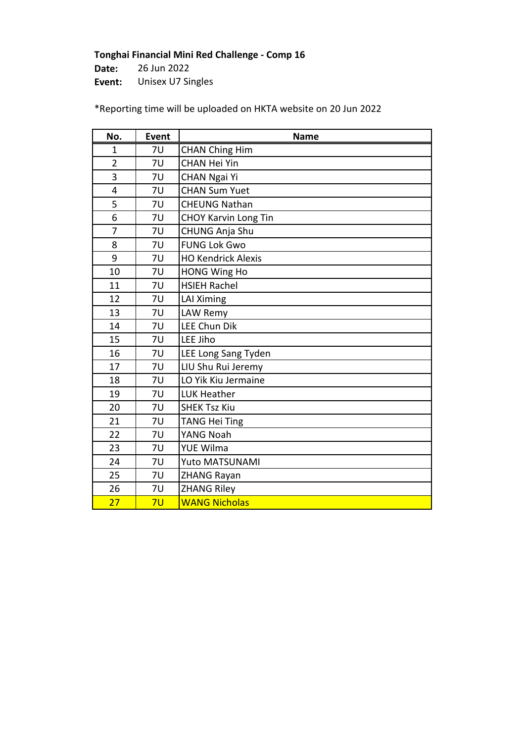**Tonghai Financial Mini Red Challenge - Comp 16**

| Date:  | 26 Jun 2022       |
|--------|-------------------|
| Event: | Unisex U7 Singles |

| No.            | <b>Event</b> | <b>Name</b>                 |
|----------------|--------------|-----------------------------|
| $\mathbf{1}$   | 7U           | <b>CHAN Ching Him</b>       |
| $\overline{2}$ | 7U           | <b>CHAN Hei Yin</b>         |
| 3              | 7U           | <b>CHAN Ngai Yi</b>         |
| 4              | 7U           | <b>CHAN Sum Yuet</b>        |
| 5              | 7U           | <b>CHEUNG Nathan</b>        |
| 6              | 7U           | <b>CHOY Karvin Long Tin</b> |
| 7              | 7U           | CHUNG Anja Shu              |
| 8              | 7U           | <b>FUNG Lok Gwo</b>         |
| 9              | 7U           | <b>HO Kendrick Alexis</b>   |
| 10             | 7U           | <b>HONG Wing Ho</b>         |
| 11             | 7U           | <b>HSIEH Rachel</b>         |
| 12             | 7U           | <b>LAI Ximing</b>           |
| 13             | 7U           | LAW Remy                    |
| 14             | 7U           | <b>LEE Chun Dik</b>         |
| 15             | 7U           | <b>LEE Jiho</b>             |
| 16             | 7U           | LEE Long Sang Tyden         |
| 17             | 7U           | LIU Shu Rui Jeremy          |
| 18             | 7U           | LO Yik Kiu Jermaine         |
| 19             | 7U           | <b>LUK Heather</b>          |
| 20             | 7U           | <b>SHEK Tsz Kiu</b>         |
| 21             | 7U           | <b>TANG Hei Ting</b>        |
| 22             | 7U           | YANG Noah                   |
| 23             | 7U           | <b>YUE Wilma</b>            |
| 24             | 7U           | Yuto MATSUNAMI              |
| 25             | 7U           | ZHANG Rayan                 |
| 26             | 7U           | <b>ZHANG Riley</b>          |
| 27             | 7U           | <b>WANG Nicholas</b>        |

\*Reporting time will be uploaded on HKTA website on 20 Jun 2022